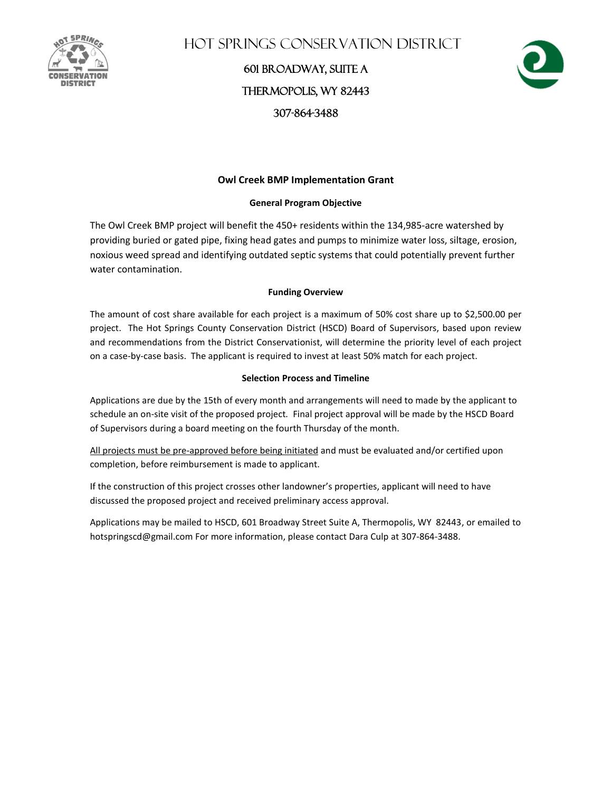

Hot Springs Conservation District

601 Broadway, Suite A Thermopolis, WY 82443 307-864-3488



## **Owl Creek BMP Implementation Grant**

### **General Program Objective**

The Owl Creek BMP project will benefit the 450+ residents within the 134,985-acre watershed by providing buried or gated pipe, fixing head gates and pumps to minimize water loss, siltage, erosion, noxious weed spread and identifying outdated septic systems that could potentially prevent further water contamination.

### **Funding Overview**

The amount of cost share available for each project is a maximum of 50% cost share up to \$2,500.00 per project. The Hot Springs County Conservation District (HSCD) Board of Supervisors, based upon review and recommendations from the District Conservationist, will determine the priority level of each project on a case-by-case basis. The applicant is required to invest at least 50% match for each project.

### **Selection Process and Timeline**

Applications are due by the 15th of every month and arrangements will need to made by the applicant to schedule an on-site visit of the proposed project*.* Final project approval will be made by the HSCD Board of Supervisors during a board meeting on the fourth Thursday of the month.

All projects must be pre-approved before being initiated and must be evaluated and/or certified upon completion, before reimbursement is made to applicant.

If the construction of this project crosses other landowner's properties, applicant will need to have discussed the proposed project and received preliminary access approval.

Applications may be mailed to HSCD, 601 Broadway Street Suite A, Thermopolis, WY 82443, or emailed to hotspringscd@gmail.com For more information, please contact Dara Culp at 307-864-3488.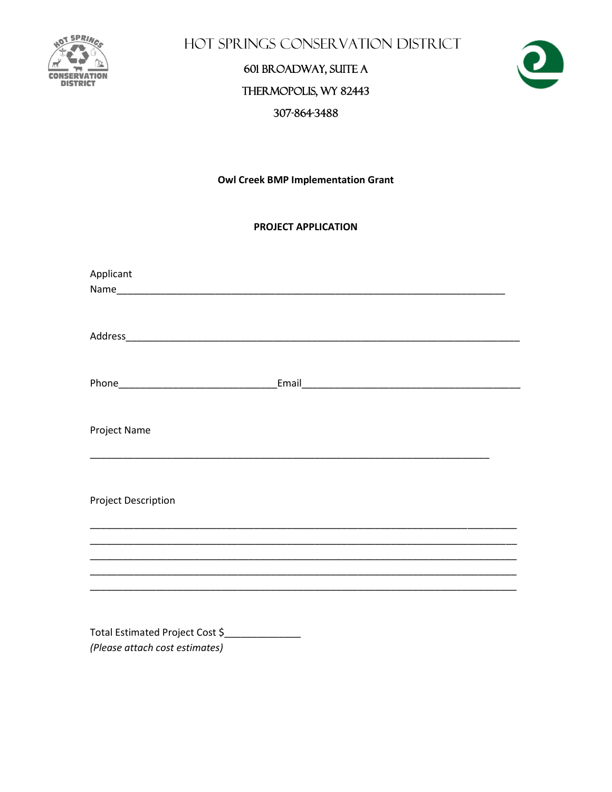

HOT SPRINGS CONSERVATION DISTRICT

# 601 BROADWAY, SUITE A THERMOPOLIS, WY 82443 307-864-3488



**Owl Creek BMP Implementation Grant** 

## **PROJECT APPLICATION**

| Applicant                  |  |
|----------------------------|--|
|                            |  |
|                            |  |
|                            |  |
|                            |  |
|                            |  |
|                            |  |
| Project Name               |  |
|                            |  |
|                            |  |
| <b>Project Description</b> |  |
|                            |  |
|                            |  |
|                            |  |
|                            |  |
|                            |  |
| _ _  4                     |  |

Total Estimated Project Cost \$ (Please attach cost estimates)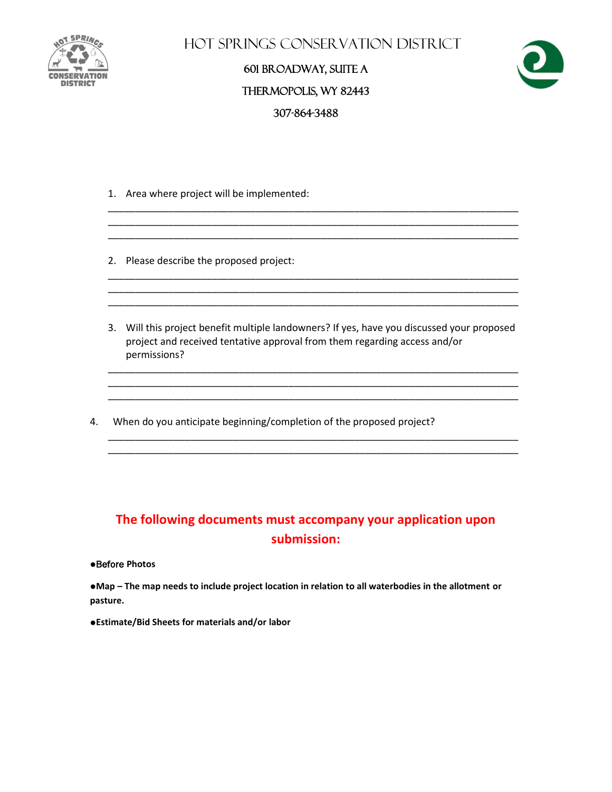

Hot Springs Conservation District

# 601 Broadway, Suite A Thermopolis, WY 82443 307-864-3488



- 1. Area where project will be implemented:
- 2. Please describe the proposed project:
- 3. Will this project benefit multiple landowners? If yes, have you discussed your proposed project and received tentative approval from them regarding access and/or permissions?

\_\_\_\_\_\_\_\_\_\_\_\_\_\_\_\_\_\_\_\_\_\_\_\_\_\_\_\_\_\_\_\_\_\_\_\_\_\_\_\_\_\_\_\_\_\_\_\_\_\_\_\_\_\_\_\_\_\_\_\_\_\_\_\_\_\_\_\_\_\_\_\_\_\_\_ \_\_\_\_\_\_\_\_\_\_\_\_\_\_\_\_\_\_\_\_\_\_\_\_\_\_\_\_\_\_\_\_\_\_\_\_\_\_\_\_\_\_\_\_\_\_\_\_\_\_\_\_\_\_\_\_\_\_\_\_\_\_\_\_\_\_\_\_\_\_\_\_\_\_\_ \_\_\_\_\_\_\_\_\_\_\_\_\_\_\_\_\_\_\_\_\_\_\_\_\_\_\_\_\_\_\_\_\_\_\_\_\_\_\_\_\_\_\_\_\_\_\_\_\_\_\_\_\_\_\_\_\_\_\_\_\_\_\_\_\_\_\_\_\_\_\_\_\_\_\_

\_\_\_\_\_\_\_\_\_\_\_\_\_\_\_\_\_\_\_\_\_\_\_\_\_\_\_\_\_\_\_\_\_\_\_\_\_\_\_\_\_\_\_\_\_\_\_\_\_\_\_\_\_\_\_\_\_\_\_\_\_\_\_\_\_\_\_\_\_\_\_\_\_\_\_ \_\_\_\_\_\_\_\_\_\_\_\_\_\_\_\_\_\_\_\_\_\_\_\_\_\_\_\_\_\_\_\_\_\_\_\_\_\_\_\_\_\_\_\_\_\_\_\_\_\_\_\_\_\_\_\_\_\_\_\_\_\_\_\_\_\_\_\_\_\_\_\_\_\_\_

\_\_\_\_\_\_\_\_\_\_\_\_\_\_\_\_\_\_\_\_\_\_\_\_\_\_\_\_\_\_\_\_\_\_\_\_\_\_\_\_\_\_\_\_\_\_\_\_\_\_\_\_\_\_\_\_\_\_\_\_\_\_\_\_\_\_\_\_\_\_\_\_\_\_\_

\_\_\_\_\_\_\_\_\_\_\_\_\_\_\_\_\_\_\_\_\_\_\_\_\_\_\_\_\_\_\_\_\_\_\_\_\_\_\_\_\_\_\_\_\_\_\_\_\_\_\_\_\_\_\_\_\_\_\_\_\_\_\_\_\_\_\_\_\_\_\_\_\_\_\_ \_\_\_\_\_\_\_\_\_\_\_\_\_\_\_\_\_\_\_\_\_\_\_\_\_\_\_\_\_\_\_\_\_\_\_\_\_\_\_\_\_\_\_\_\_\_\_\_\_\_\_\_\_\_\_\_\_\_\_\_\_\_\_\_\_\_\_\_\_\_\_\_\_\_\_

\_\_\_\_\_\_\_\_\_\_\_\_\_\_\_\_\_\_\_\_\_\_\_\_\_\_\_\_\_\_\_\_\_\_\_\_\_\_\_\_\_\_\_\_\_\_\_\_\_\_\_\_\_\_\_\_\_\_\_\_\_\_\_\_\_\_\_\_\_\_\_\_\_\_\_

\_\_\_\_\_\_\_\_\_\_\_\_\_\_\_\_\_\_\_\_\_\_\_\_\_\_\_\_\_\_\_\_\_\_\_\_\_\_\_\_\_\_\_\_\_\_\_\_\_\_\_\_\_\_\_\_\_\_\_\_\_\_\_\_\_\_\_\_\_\_\_\_\_\_\_

4. When do you anticipate beginning/completion of the proposed project?

# **The following documents must accompany your application upon submission:**

#### ●Before **Photos**

●**Map – The map needs to include project location in relation to all waterbodies in the allotment or pasture.**

●**Estimate/Bid Sheets for materials and/or labor**